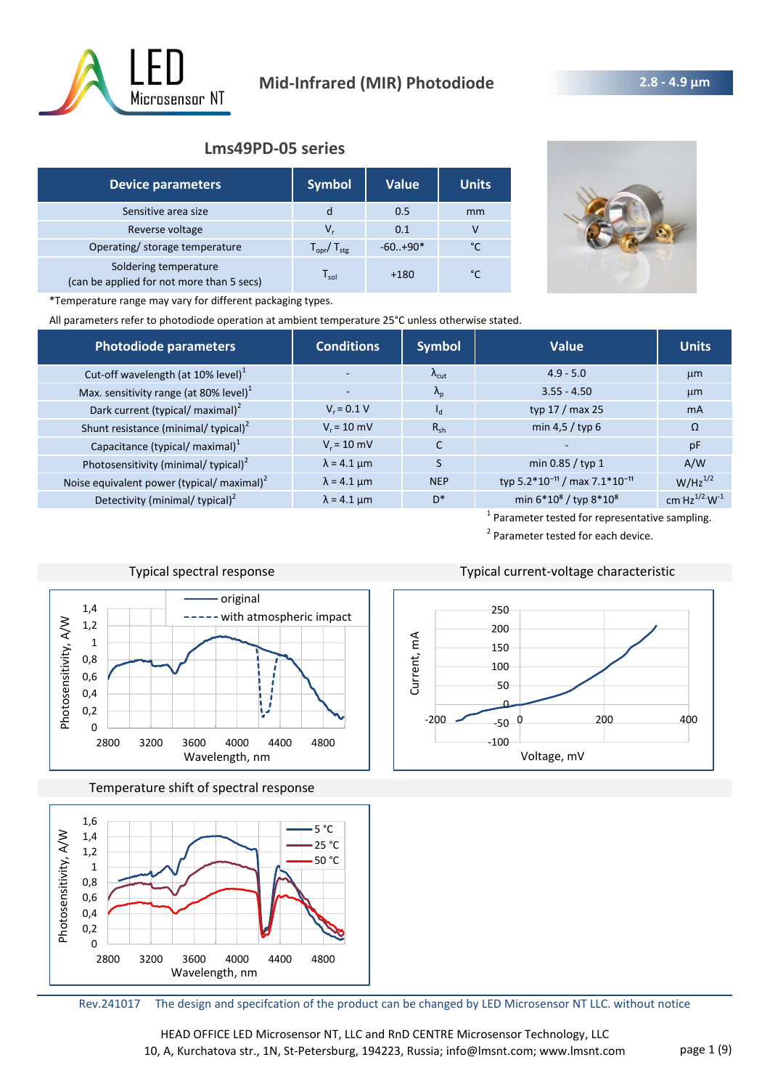

# **Lms49PD-05 series**

| <b>Device parameters</b>                                           | <b>Symbol</b>                   | <b>Value</b> | <b>Units</b> |
|--------------------------------------------------------------------|---------------------------------|--------------|--------------|
| Sensitive area size                                                | d                               | 0.5          | mm           |
| Reverse voltage                                                    | V,                              | 0.1          | v            |
| Operating/ storage temperature                                     | $T_{\text{opr}}/T_{\text{stg}}$ | $-60+90*$    | °C           |
| Soldering temperature<br>(can be applied for not more than 5 secs) | $\mathsf{T}_{\mathsf{sol}}$     | $+180$       | °C           |



\*Temperature range may vary for different packaging types.

All parameters refer to photodiode operation at ambient temperature 25°C unless otherwise stated.

| <b>Photodiode parameters</b>                           | <b>Conditions</b>  | <b>Symbol</b>          | <b>Value</b>                                          | <b>Units</b>        |
|--------------------------------------------------------|--------------------|------------------------|-------------------------------------------------------|---------------------|
| Cut-off wavelength (at 10% level) <sup>1</sup>         |                    | $\Lambda_{\text{cut}}$ | $4.9 - 5.0$                                           | $\mu$ m             |
| Max. sensitivity range (at 80% level) <sup>1</sup>     |                    | $\Lambda_{p}$          | $3.55 - 4.50$                                         | $\mu$ m             |
| Dark current (typical/ maximal) <sup>2</sup>           | $V_r = 0.1 V$      | $I_{d}$                | typ 17 / max 25                                       | <sub>m</sub> A      |
| Shunt resistance (minimal/ typical) <sup>2</sup>       | $V_r = 10$ mV      | $R_{sh}$               | min 4,5 $/$ typ 6                                     | $\Omega$            |
| Capacitance (typical/ maximal) <sup>1</sup>            | $V_r = 10$ mV      | C                      |                                                       | pF                  |
| Photosensitivity (minimal/ typical) <sup>2</sup>       | $\lambda$ = 4.1 µm |                        | min $0.85 /$ typ 1                                    | A/W                 |
| Noise equivalent power (typical/ maximal) <sup>2</sup> | $\lambda$ = 4.1 µm | <b>NEP</b>             | typ 5.2*10 <sup>-11</sup> / max 7.1*10 <sup>-11</sup> | $W/Hz^{1/2}$        |
| Detectivity (minimal/ typical) <sup>2</sup>            | $\lambda$ = 4.1 µm | $D^*$                  | min 6*10 <sup>8</sup> / typ 8*10 <sup>8</sup>         | cm $Hz^{1/2}W^{-1}$ |

<sup>1</sup> Parameter tested for representative sampling. <sup>2</sup> Parameter tested for each device.



Temperature shift of spectral response





Rev.241017 The design and specifcation of the product can be changed by LED Microsensor NT LLC. without notice

HEAD OFFICE LED Microsensor NT, LLC and RnD CENTRE Microsensor Technology, LLC 10, A, Kurchatova str., 1N, St-Petersburg, 194223, Russia; info@lmsnt.com; www.lmsnt.com page 1 (9)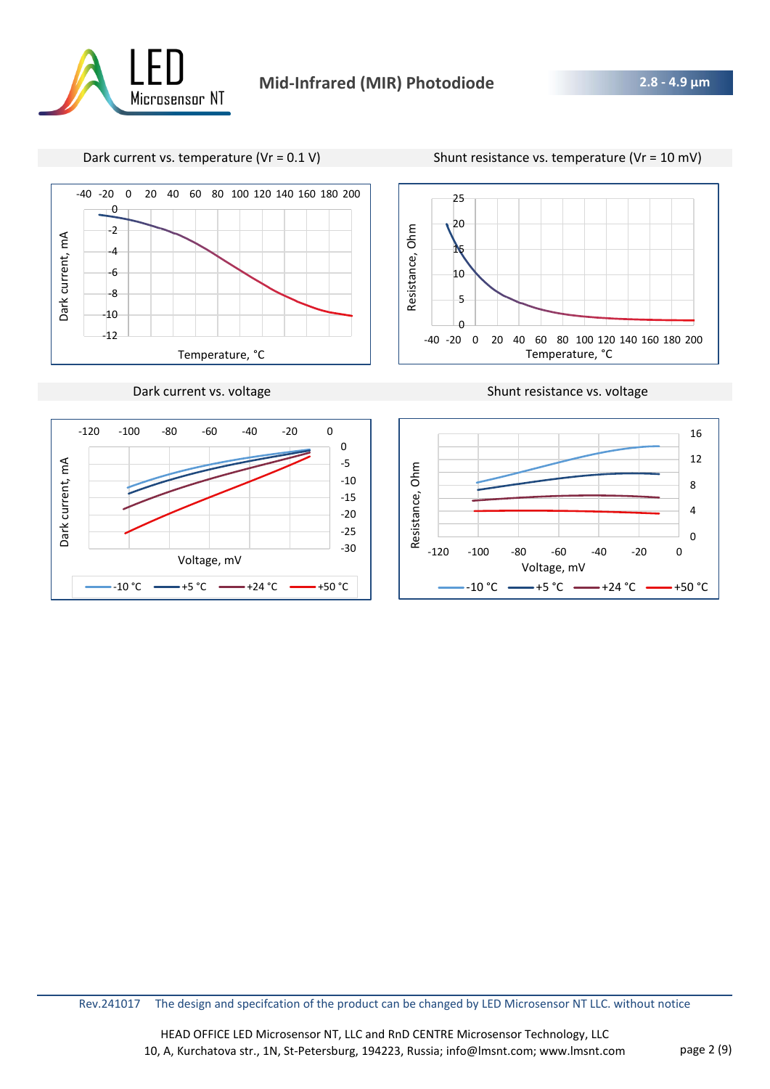

Dark current vs. temperature (Vr = 0.1 V) Shunt resistance vs. temperature (Vr = 10 mV)





Dark current vs. voltage Shunt resistance vs. voltage Shunt resistance vs. voltage

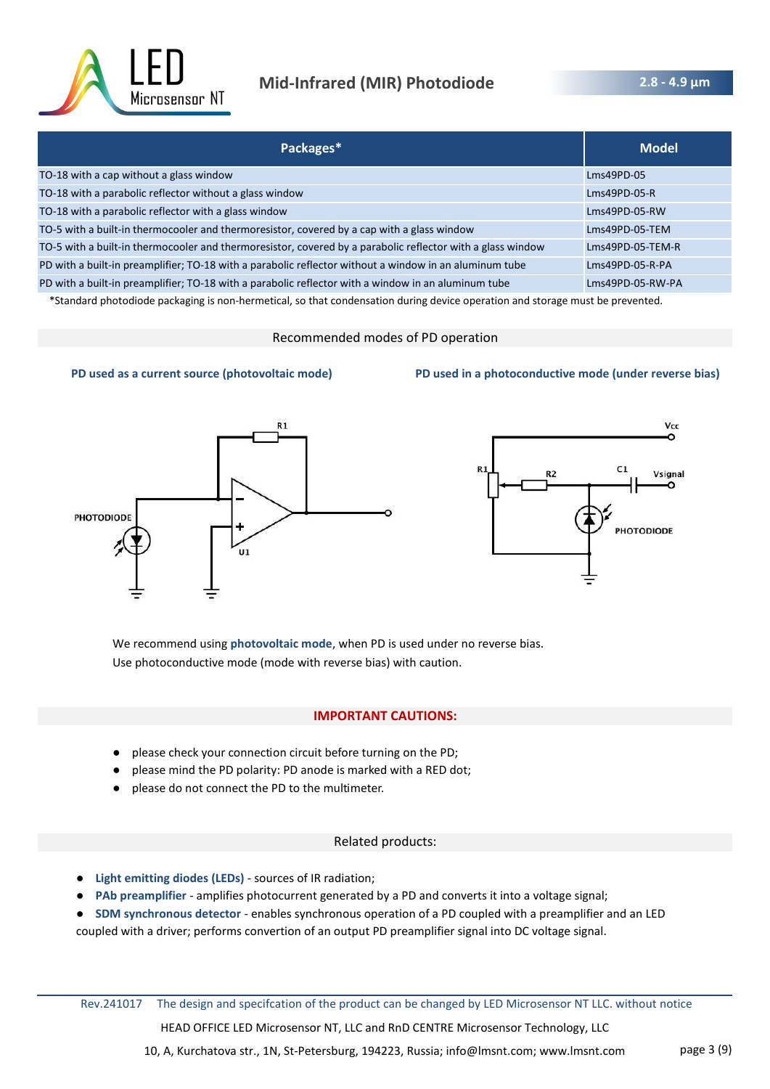

| Packages*                                                                                                  | <b>Model</b>     |
|------------------------------------------------------------------------------------------------------------|------------------|
| TO-18 with a cap without a glass window                                                                    | Lms49PD-05       |
| TO-18 with a parabolic reflector without a glass window                                                    | $Lms49PD-05-R$   |
| TO-18 with a parabolic reflector with a glass window                                                       | Lms49PD-05-RW    |
| TO-5 with a built-in thermocooler and thermoresistor, covered by a cap with a glass window                 | Lms49PD-05-TEM   |
| TO-5 with a built-in thermocooler and thermoresistor, covered by a parabolic reflector with a glass window | Lms49PD-05-TEM-R |
| PD with a built-in preamplifier; TO-18 with a parabolic reflector without a window in an aluminum tube     | Lms49PD-05-R-PA  |
| PD with a built-in preamplifier; TO-18 with a parabolic reflector with a window in an aluminum tube        | Lms49PD-05-RW-PA |

\*Standard photodiode packaging is non-hermetical, so that condensation during device operation and storage must be prevented.

#### Recommended modes of PD operation



#### **PD used as a current source (photovoltaic mode) PD used in a photoconductive mode (under reverse bias)**



We recommend using **photovoltaic mode**, when PD is used under no reverse bias. Use photoconductive mode (mode with reverse bias) with caution.

#### **IMPORTANT CAUTIONS:**

- please check your connection circuit before turning on the PD;
- please mind the PD polarity: PD anode is marked with a RED dot;
- please do not connect the PD to the multimeter.

#### Related products:

- **Light emitting diodes (LEDs)**  sources of IR radiation;
- **PAb preamplifier**  amplifies photocurrent generated by a PD and converts it into a voltage signal;
- **SDM synchronous detector** enables synchronous operation of a PD coupled with a preamplifier and an LED coupled with a driver; performs convertion of an output PD preamplifier signal into DC voltage signal.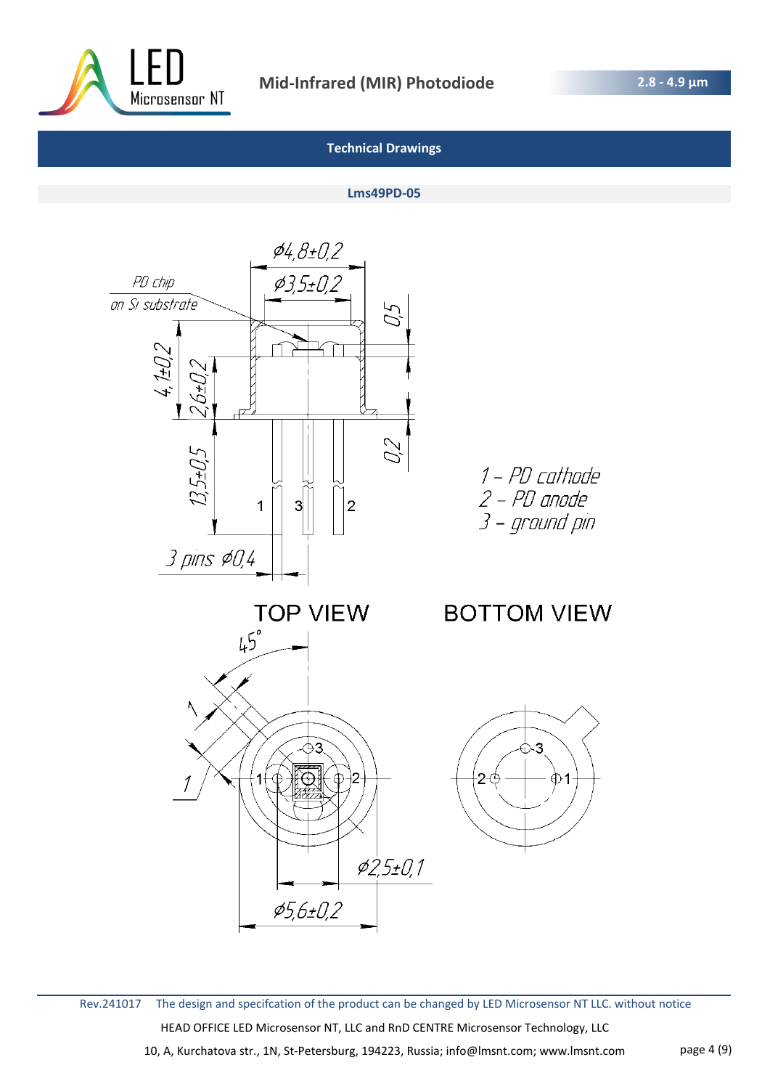

**2.8 - 4.9 μm** 

# **Technical Drawings**

### **Lms49PD-05**



Rev.241017 The design and specifcation of the product can be changed by LED Microsensor NT LLC. without notice HEAD OFFICE LED Microsensor NT, LLC and RnD CENTRE Microsensor Technology, LLC 10, A, Kurchatova str., 1N, St-Petersburg, 194223, Russia; info@lmsnt.com; www.lmsnt.com page 4 (9)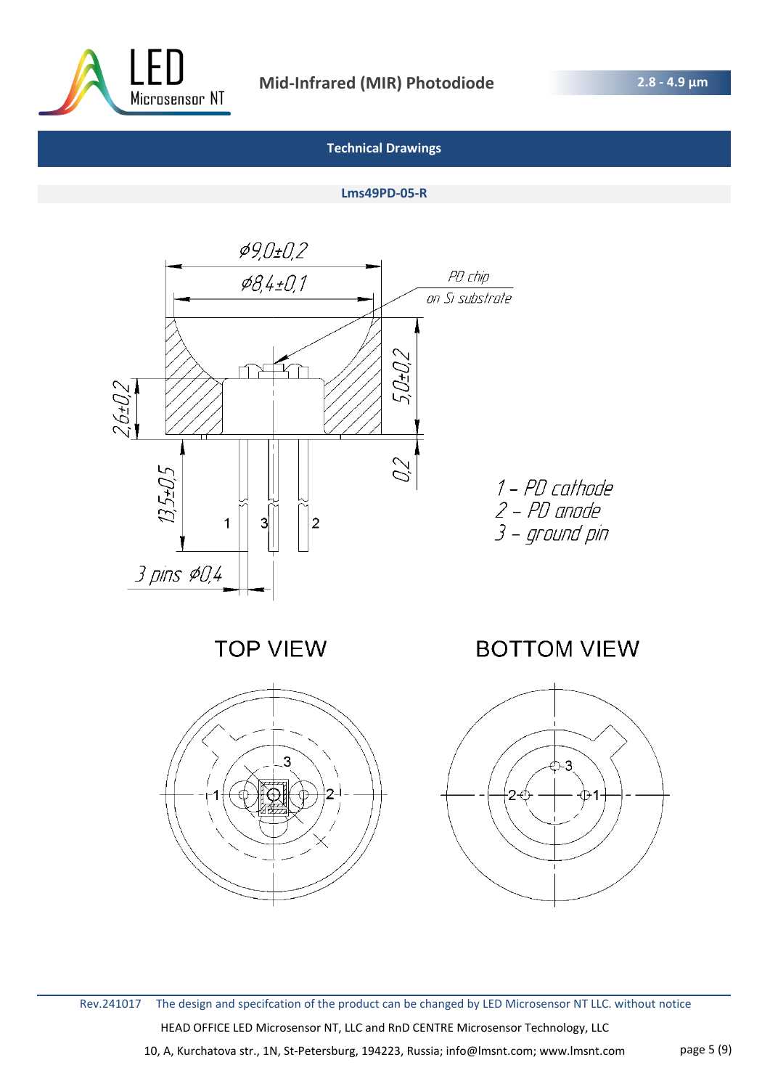

### **Lms49PD-05-R**



**TOP VIEW** 







Rev.241017 The design and specifcation of the product can be changed by LED Microsensor NT LLC. without notice HEAD OFFICE LED Microsensor NT, LLC and RnD CENTRE Microsensor Technology, LLC 10, A, Kurchatova str., 1N, St-Petersburg, 194223, Russia; info@lmsnt.com; www.lmsnt.com page 5 (9)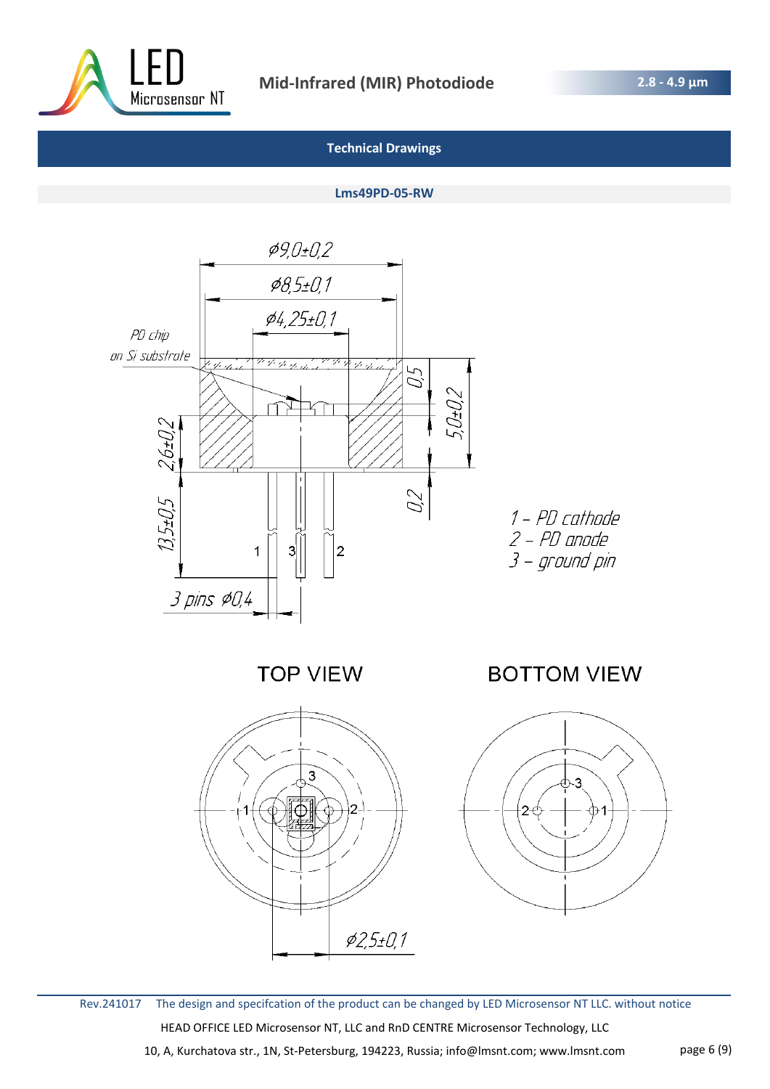

#### **Lms49PD-05-RW**



Rev.241017 The design and specifcation of the product can be changed by LED Microsensor NT LLC. without notice HEAD OFFICE LED Microsensor NT, LLC and RnD CENTRE Microsensor Technology, LLC 10, A, Kurchatova str., 1N, St-Petersburg, 194223, Russia; info@lmsnt.com; www.lmsnt.com page 6 (9)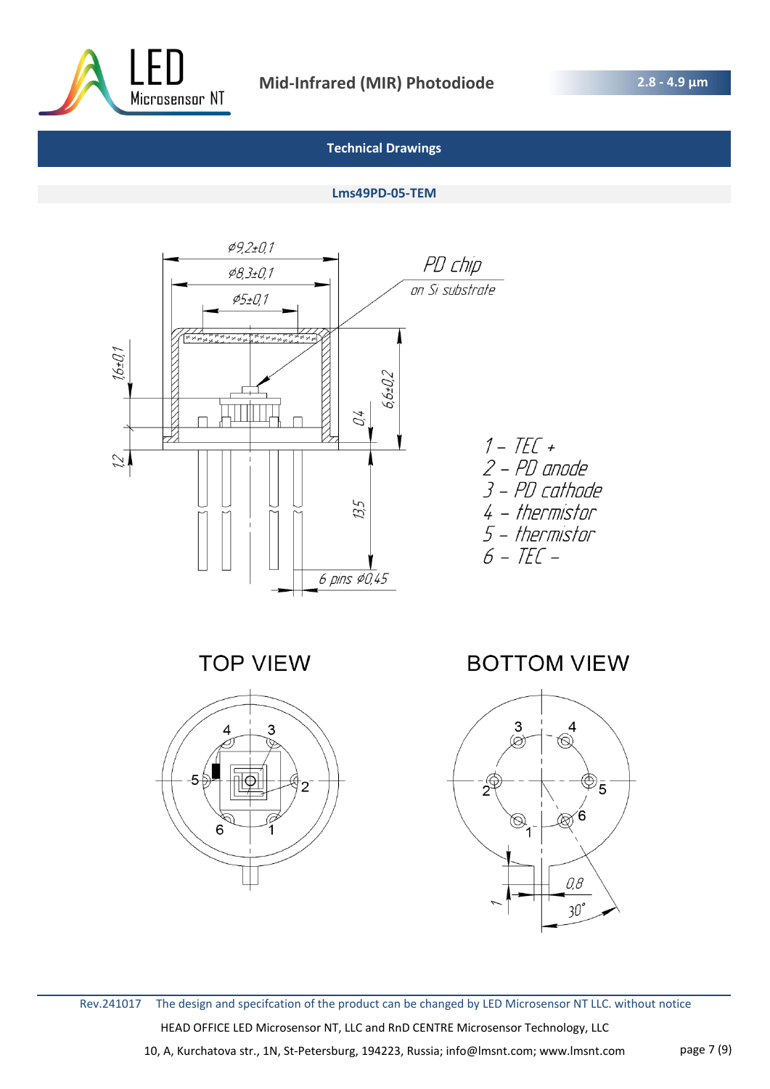

## **Lms49PD-05-TEM**



Rev.241017 The design and specifcation of the product can be changed by LED Microsensor NT LLC. without notice HEAD OFFICE LED Microsensor NT, LLC and RnD CENTRE Microsensor Technology, LLC 10, A, Kurchatova str., 1N, St-Petersburg, 194223, Russia; info@lmsnt.com; www.lmsnt.com page 7 (9)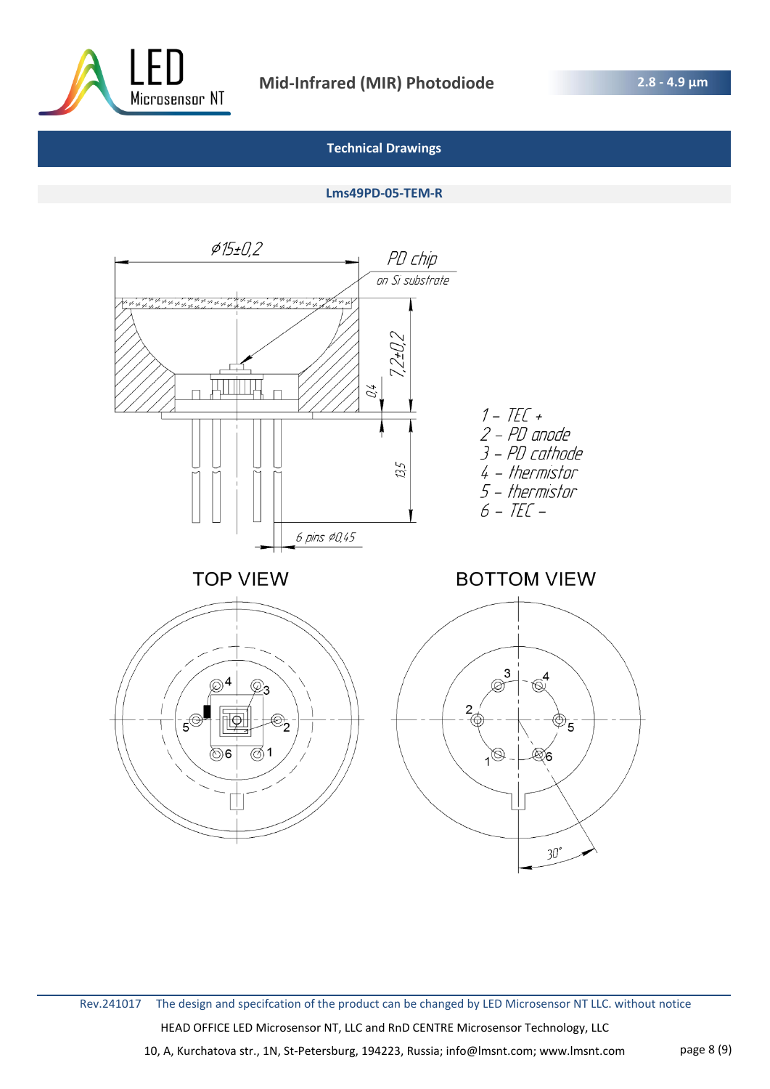

### **Lms49PD-05-TEM-R**



Rev.241017 The design and specifcation of the product can be changed by LED Microsensor NT LLC. without notice HEAD OFFICE LED Microsensor NT, LLC and RnD CENTRE Microsensor Technology, LLC 10, A, Kurchatova str., 1N, St-Petersburg, 194223, Russia; info@lmsnt.com; www.lmsnt.com page 8 (9)